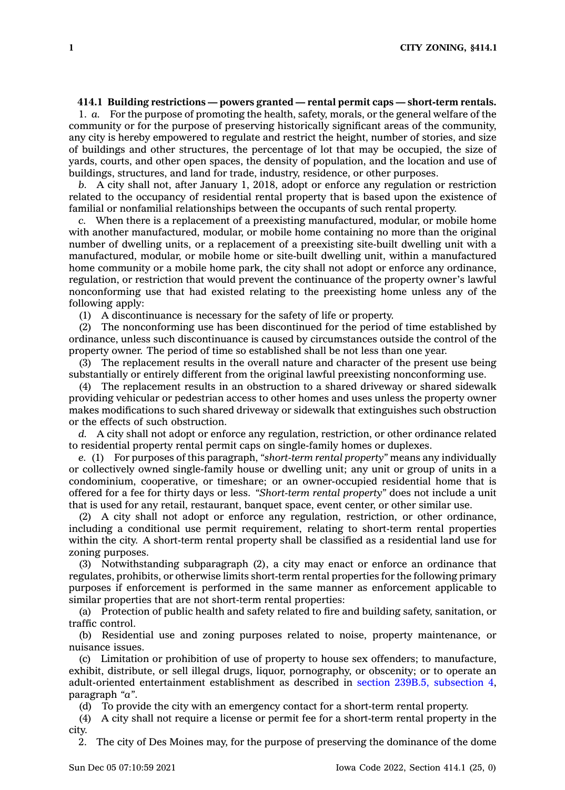## **414.1 Building restrictions — powers granted — rental permit caps — short-term rentals.**

1. *a.* For the purpose of promoting the health, safety, morals, or the general welfare of the community or for the purpose of preserving historically significant areas of the community, any city is hereby empowered to regulate and restrict the height, number of stories, and size of buildings and other structures, the percentage of lot that may be occupied, the size of yards, courts, and other open spaces, the density of population, and the location and use of buildings, structures, and land for trade, industry, residence, or other purposes.

*b.* A city shall not, after January 1, 2018, adopt or enforce any regulation or restriction related to the occupancy of residential rental property that is based upon the existence of familial or nonfamilial relationships between the occupants of such rental property.

*c.* When there is <sup>a</sup> replacement of <sup>a</sup> preexisting manufactured, modular, or mobile home with another manufactured, modular, or mobile home containing no more than the original number of dwelling units, or <sup>a</sup> replacement of <sup>a</sup> preexisting site-built dwelling unit with <sup>a</sup> manufactured, modular, or mobile home or site-built dwelling unit, within <sup>a</sup> manufactured home community or <sup>a</sup> mobile home park, the city shall not adopt or enforce any ordinance, regulation, or restriction that would prevent the continuance of the property owner's lawful nonconforming use that had existed relating to the preexisting home unless any of the following apply:

(1) A discontinuance is necessary for the safety of life or property.

(2) The nonconforming use has been discontinued for the period of time established by ordinance, unless such discontinuance is caused by circumstances outside the control of the property owner. The period of time so established shall be not less than one year.

(3) The replacement results in the overall nature and character of the present use being substantially or entirely different from the original lawful preexisting nonconforming use.

(4) The replacement results in an obstruction to <sup>a</sup> shared driveway or shared sidewalk providing vehicular or pedestrian access to other homes and uses unless the property owner makes modifications to such shared driveway or sidewalk that extinguishes such obstruction or the effects of such obstruction.

*d.* A city shall not adopt or enforce any regulation, restriction, or other ordinance related to residential property rental permit caps on single-family homes or duplexes.

*e.* (1) For purposes of this paragraph, *"short-term rental property"* means any individually or collectively owned single-family house or dwelling unit; any unit or group of units in <sup>a</sup> condominium, cooperative, or timeshare; or an owner-occupied residential home that is offered for <sup>a</sup> fee for thirty days or less. *"Short-term rental property"* does not include <sup>a</sup> unit that is used for any retail, restaurant, banquet space, event center, or other similar use.

(2) A city shall not adopt or enforce any regulation, restriction, or other ordinance, including <sup>a</sup> conditional use permit requirement, relating to short-term rental properties within the city. A short-term rental property shall be classified as <sup>a</sup> residential land use for zoning purposes.

(3) Notwithstanding subparagraph (2), <sup>a</sup> city may enact or enforce an ordinance that regulates, prohibits, or otherwise limits short-term rental properties for the following primary purposes if enforcement is performed in the same manner as enforcement applicable to similar properties that are not short-term rental properties:

(a) Protection of public health and safety related to fire and building safety, sanitation, or traffic control.

(b) Residential use and zoning purposes related to noise, property maintenance, or nuisance issues.

(c) Limitation or prohibition of use of property to house sex offenders; to manufacture, exhibit, distribute, or sell illegal drugs, liquor, pornography, or obscenity; or to operate an adult-oriented entertainment establishment as described in section 239B.5, [subsection](https://www.legis.iowa.gov/docs/code/239B.5.pdf) 4, paragraph *"a"*.

(d) To provide the city with an emergency contact for <sup>a</sup> short-term rental property.

(4) A city shall not require <sup>a</sup> license or permit fee for <sup>a</sup> short-term rental property in the city.

2. The city of Des Moines may, for the purpose of preserving the dominance of the dome